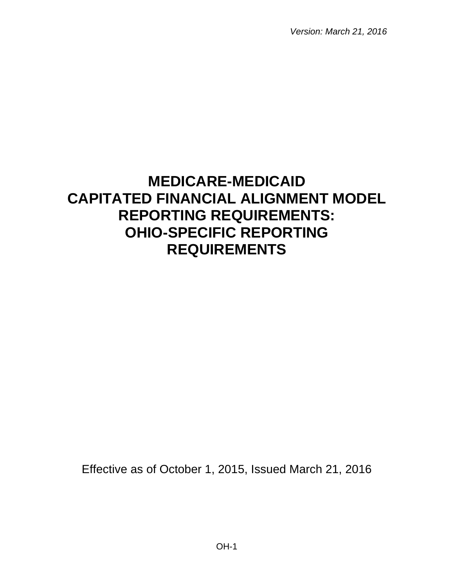*Version: March 21, 2016*

# **MEDICARE-MEDICAID CAPITATED FINANCIAL ALIGNMENT MODEL REPORTING REQUIREMENTS: OHIO-SPECIFIC REPORTING REQUIREMENTS**

Effective as of October 1, 2015, Issued March 21, 2016

OH-1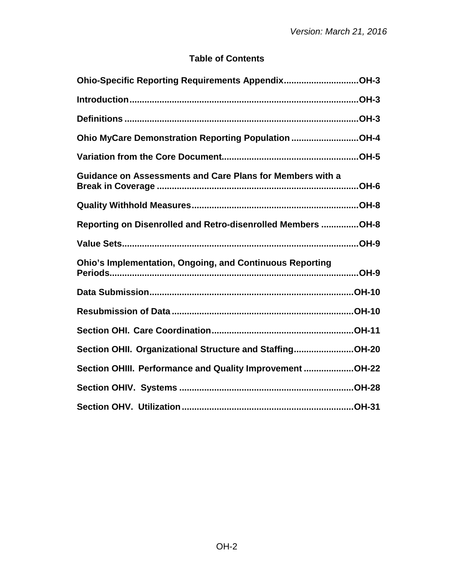## **Table of Contents**

| Ohio-Specific Reporting Requirements AppendixOH-3                |
|------------------------------------------------------------------|
|                                                                  |
|                                                                  |
| Ohio MyCare Demonstration Reporting Population OH-4              |
|                                                                  |
| <b>Guidance on Assessments and Care Plans for Members with a</b> |
|                                                                  |
| Reporting on Disenrolled and Retro-disenrolled Members OH-8      |
|                                                                  |
| <b>Ohio's Implementation, Ongoing, and Continuous Reporting</b>  |
|                                                                  |
|                                                                  |
|                                                                  |
| Section OHII. Organizational Structure and StaffingOH-20         |
| Section OHIII. Performance and Quality Improvement OH-22         |
|                                                                  |
|                                                                  |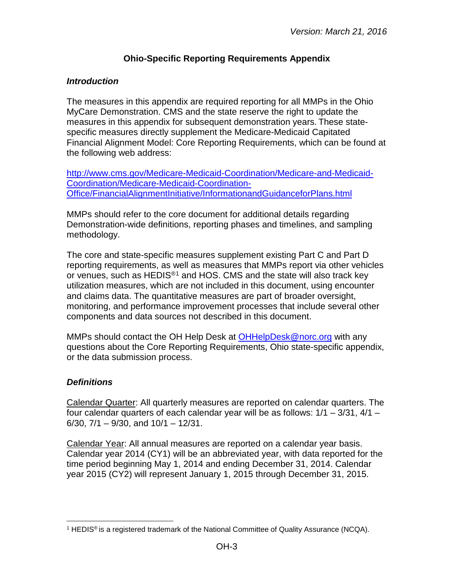## **Ohio-Specific Reporting Requirements Appendix**

## <span id="page-2-1"></span><span id="page-2-0"></span>*Introduction*

The measures in this appendix are required reporting for all MMPs in the Ohio MyCare Demonstration. CMS and the state reserve the right to update the measures in this appendix for subsequent demonstration years. These statespecific measures directly supplement the Medicare-Medicaid Capitated Financial Alignment Model: Core Reporting Requirements, which can be found at the following web address:

[http://www.cms.gov/Medicare-Medicaid-Coordination/Medicare-and-Medicaid-](http://www.cms.gov/Medicare-Medicaid-Coordination/Medicare-and-Medicaid-Coordination/Medicare-Medicaid-Coordination-Office/FinancialAlignmentInitiative/InformationandGuidanceforPlans.html)[Coordination/Medicare-Medicaid-Coordination-](http://www.cms.gov/Medicare-Medicaid-Coordination/Medicare-and-Medicaid-Coordination/Medicare-Medicaid-Coordination-Office/FinancialAlignmentInitiative/InformationandGuidanceforPlans.html)[Office/FinancialAlignmentInitiative/InformationandGuidanceforPlans.html](http://www.cms.gov/Medicare-Medicaid-Coordination/Medicare-and-Medicaid-Coordination/Medicare-Medicaid-Coordination-Office/FinancialAlignmentInitiative/InformationandGuidanceforPlans.html)

MMPs should refer to the core document for additional details regarding Demonstration-wide definitions, reporting phases and timelines, and sampling methodology.

The core and state-specific measures supplement existing Part C and Part D reporting requirements, as well as measures that MMPs report via other vehicles or venues, such as HEDIS<sup>®[1](#page-2-3)</sup> and HOS. CMS and the state will also track key utilization measures, which are not included in this document, using encounter and claims data. The quantitative measures are part of broader oversight, monitoring, and performance improvement processes that include several other components and data sources not described in this document.

MMPs should contact the OH Help Desk at [OHHelpDesk@norc.org](mailto:OHHelpDesk@norc.org) with any questions about the Core Reporting Requirements, Ohio state-specific appendix, or the data submission process.

## <span id="page-2-2"></span>*Definitions*

Calendar Quarter: All quarterly measures are reported on calendar quarters. The four calendar quarters of each calendar year will be as follows:  $1/1 - 3/31$ ,  $4/1 -$ 6/30,  $7/1 - 9/30$ , and  $10/1 - 12/31$ .

Calendar Year: All annual measures are reported on a calendar year basis. Calendar year 2014 (CY1) will be an abbreviated year, with data reported for the time period beginning May 1, 2014 and ending December 31, 2014. Calendar year 2015 (CY2) will represent January 1, 2015 through December 31, 2015.

<span id="page-2-3"></span><sup>&</sup>lt;sup>1</sup> HEDIS<sup>®</sup> is a registered trademark of the National Committee of Quality Assurance (NCQA).  $\overline{a}$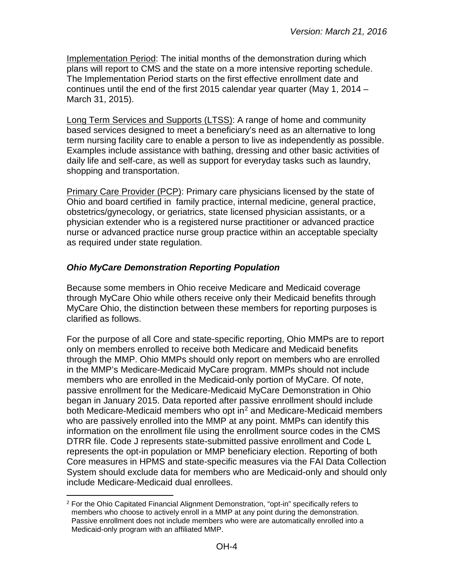Implementation Period: The initial months of the demonstration during which plans will report to CMS and the state on a more intensive reporting schedule. The Implementation Period starts on the first effective enrollment date and continues until the end of the first 2015 calendar year quarter (May 1, 2014 – March 31, 2015).

Long Term Services and Supports (LTSS): A range of home and community based services designed to meet a beneficiary's need as an alternative to long term nursing facility care to enable a person to live as independently as possible. Examples include assistance with bathing, dressing and other basic activities of daily life and self-care, as well as support for everyday tasks such as laundry, shopping and transportation.

Primary Care Provider (PCP): Primary care physicians licensed by the state of Ohio and board certified in family practice, internal medicine, general practice, obstetrics/gynecology, or geriatrics, state licensed physician assistants, or a physician extender who is a registered nurse practitioner or advanced practice nurse or advanced practice nurse group practice within an acceptable specialty as required under state regulation.

## <span id="page-3-0"></span>*Ohio MyCare Demonstration Reporting Population*

Because some members in Ohio receive Medicare and Medicaid coverage through MyCare Ohio while others receive only their Medicaid benefits through MyCare Ohio, the distinction between these members for reporting purposes is clarified as follows.

For the purpose of all Core and state-specific reporting, Ohio MMPs are to report only on members enrolled to receive both Medicare and Medicaid benefits through the MMP. Ohio MMPs should only report on members who are enrolled in the MMP's Medicare-Medicaid MyCare program. MMPs should not include members who are enrolled in the Medicaid-only portion of MyCare. Of note, passive enrollment for the Medicare-Medicaid MyCare Demonstration in Ohio began in January 2015. Data reported after passive enrollment should include both Medicare-Medicaid members who opt in<sup>[2](#page-3-1)</sup> and Medicare-Medicaid members who are passively enrolled into the MMP at any point. MMPs can identify this information on the enrollment file using the enrollment source codes in the CMS DTRR file. Code J represents state-submitted passive enrollment and Code L represents the opt-in population or MMP beneficiary election. Reporting of both Core measures in HPMS and state-specific measures via the FAI Data Collection System should exclude data for members who are Medicaid-only and should only include Medicare-Medicaid dual enrollees.

<span id="page-3-1"></span> $2$  For the Ohio Capitated Financial Alignment Demonstration, "opt-in" specifically refers to members who choose to actively enroll in a MMP at any point during the demonstration. Passive enrollment does not include members who were are automatically enrolled into a Medicaid-only program with an affiliated MMP.  $\overline{a}$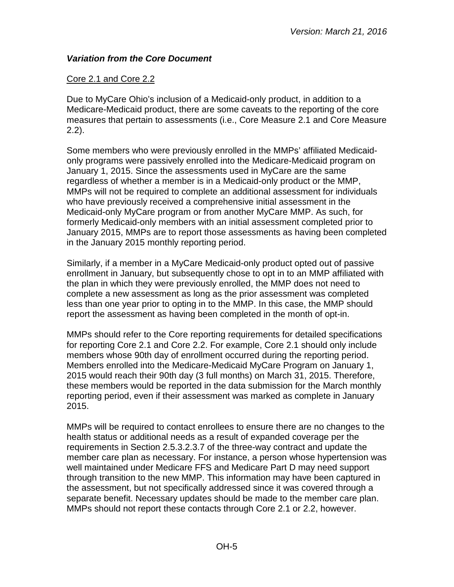## <span id="page-4-0"></span>*Variation from the Core Document*

## Core 2.1 and Core 2.2

Due to MyCare Ohio's inclusion of a Medicaid-only product, in addition to a Medicare-Medicaid product, there are some caveats to the reporting of the core measures that pertain to assessments (i.e., Core Measure 2.1 and Core Measure 2.2).

Some members who were previously enrolled in the MMPs' affiliated Medicaidonly programs were passively enrolled into the Medicare-Medicaid program on January 1, 2015. Since the assessments used in MyCare are the same regardless of whether a member is in a Medicaid-only product or the MMP, MMPs will not be required to complete an additional assessment for individuals who have previously received a comprehensive initial assessment in the Medicaid-only MyCare program or from another MyCare MMP. As such, for formerly Medicaid-only members with an initial assessment completed prior to January 2015, MMPs are to report those assessments as having been completed in the January 2015 monthly reporting period.

Similarly, if a member in a MyCare Medicaid-only product opted out of passive enrollment in January, but subsequently chose to opt in to an MMP affiliated with the plan in which they were previously enrolled, the MMP does not need to complete a new assessment as long as the prior assessment was completed less than one year prior to opting in to the MMP. In this case, the MMP should report the assessment as having been completed in the month of opt-in.

MMPs should refer to the Core reporting requirements for detailed specifications for reporting Core 2.1 and Core 2.2. For example, Core 2.1 should only include members whose 90th day of enrollment occurred during the reporting period. Members enrolled into the Medicare-Medicaid MyCare Program on January 1, 2015 would reach their 90th day (3 full months) on March 31, 2015. Therefore, these members would be reported in the data submission for the March monthly reporting period, even if their assessment was marked as complete in January 2015.

MMPs will be required to contact enrollees to ensure there are no changes to the health status or additional needs as a result of expanded coverage per the requirements in Section 2.5.3.2.3.7 of the three-way contract and update the member care plan as necessary. For instance, a person whose hypertension was well maintained under Medicare FFS and Medicare Part D may need support through transition to the new MMP. This information may have been captured in the assessment, but not specifically addressed since it was covered through a separate benefit. Necessary updates should be made to the member care plan. MMPs should not report these contacts through Core 2.1 or 2.2, however.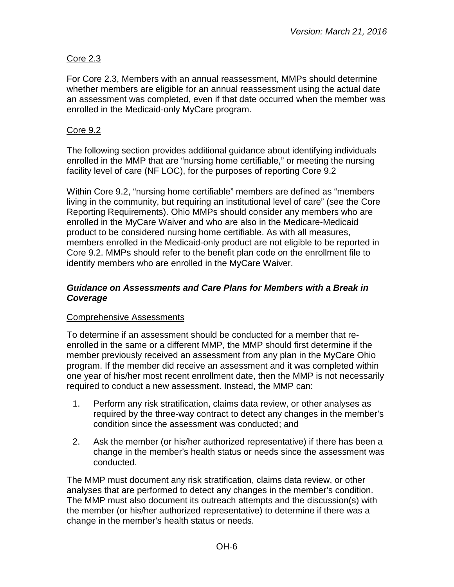## Core 2.3

For Core 2.3, Members with an annual reassessment, MMPs should determine whether members are eligible for an annual reassessment using the actual date an assessment was completed, even if that date occurred when the member was enrolled in the Medicaid-only MyCare program.

#### Core 9.2

The following section provides additional guidance about identifying individuals enrolled in the MMP that are "nursing home certifiable," or meeting the nursing facility level of care (NF LOC), for the purposes of reporting Core 9.2

Within Core 9.2, "nursing home certifiable" members are defined as "members living in the community, but requiring an institutional level of care" (see the Core Reporting Requirements). Ohio MMPs should consider any members who are enrolled in the MyCare Waiver and who are also in the Medicare-Medicaid product to be considered nursing home certifiable. As with all measures, members enrolled in the Medicaid-only product are not eligible to be reported in Core 9.2. MMPs should refer to the benefit plan code on the enrollment file to identify members who are enrolled in the MyCare Waiver.

#### <span id="page-5-0"></span>*Guidance on Assessments and Care Plans for Members with a Break in Coverage*

#### Comprehensive Assessments

To determine if an assessment should be conducted for a member that reenrolled in the same or a different MMP, the MMP should first determine if the member previously received an assessment from any plan in the MyCare Ohio program. If the member did receive an assessment and it was completed within one year of his/her most recent enrollment date, then the MMP is not necessarily required to conduct a new assessment. Instead, the MMP can:

- 1. Perform any risk stratification, claims data review, or other analyses as required by the three-way contract to detect any changes in the member's condition since the assessment was conducted; and
- 2. Ask the member (or his/her authorized representative) if there has been a change in the member's health status or needs since the assessment was conducted.

The MMP must document any risk stratification, claims data review, or other analyses that are performed to detect any changes in the member's condition. The MMP must also document its outreach attempts and the discussion(s) with the member (or his/her authorized representative) to determine if there was a change in the member's health status or needs.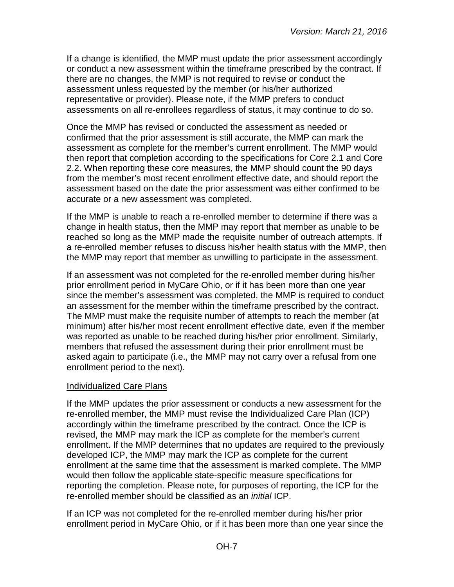If a change is identified, the MMP must update the prior assessment accordingly or conduct a new assessment within the timeframe prescribed by the contract. If there are no changes, the MMP is not required to revise or conduct the assessment unless requested by the member (or his/her authorized representative or provider). Please note, if the MMP prefers to conduct assessments on all re-enrollees regardless of status, it may continue to do so.

Once the MMP has revised or conducted the assessment as needed or confirmed that the prior assessment is still accurate, the MMP can mark the assessment as complete for the member's current enrollment. The MMP would then report that completion according to the specifications for Core 2.1 and Core 2.2. When reporting these core measures, the MMP should count the 90 days from the member's most recent enrollment effective date, and should report the assessment based on the date the prior assessment was either confirmed to be accurate or a new assessment was completed.

If the MMP is unable to reach a re-enrolled member to determine if there was a change in health status, then the MMP may report that member as unable to be reached so long as the MMP made the requisite number of outreach attempts. If a re-enrolled member refuses to discuss his/her health status with the MMP, then the MMP may report that member as unwilling to participate in the assessment.

If an assessment was not completed for the re-enrolled member during his/her prior enrollment period in MyCare Ohio, or if it has been more than one year since the member's assessment was completed, the MMP is required to conduct an assessment for the member within the timeframe prescribed by the contract. The MMP must make the requisite number of attempts to reach the member (at minimum) after his/her most recent enrollment effective date, even if the member was reported as unable to be reached during his/her prior enrollment. Similarly, members that refused the assessment during their prior enrollment must be asked again to participate (i.e., the MMP may not carry over a refusal from one enrollment period to the next).

#### Individualized Care Plans

If the MMP updates the prior assessment or conducts a new assessment for the re-enrolled member, the MMP must revise the Individualized Care Plan (ICP) accordingly within the timeframe prescribed by the contract. Once the ICP is revised, the MMP may mark the ICP as complete for the member's current enrollment. If the MMP determines that no updates are required to the previously developed ICP, the MMP may mark the ICP as complete for the current enrollment at the same time that the assessment is marked complete. The MMP would then follow the applicable state-specific measure specifications for reporting the completion. Please note, for purposes of reporting, the ICP for the re-enrolled member should be classified as an *initial* ICP.

If an ICP was not completed for the re-enrolled member during his/her prior enrollment period in MyCare Ohio, or if it has been more than one year since the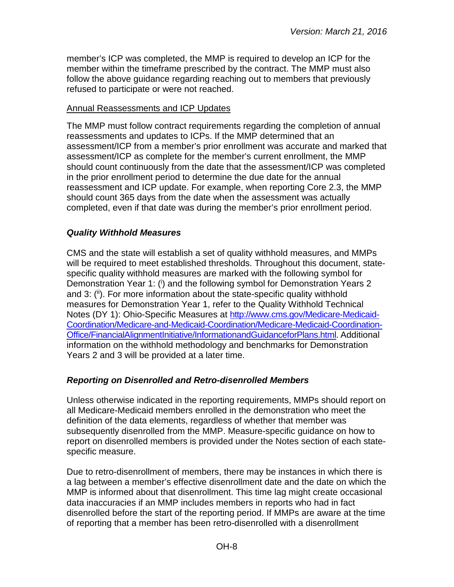member's ICP was completed, the MMP is required to develop an ICP for the member within the timeframe prescribed by the contract. The MMP must also follow the above guidance regarding reaching out to members that previously refused to participate or were not reached.

#### Annual Reassessments and ICP Updates

The MMP must follow contract requirements regarding the completion of annual reassessments and updates to ICPs. If the MMP determined that an assessment/ICP from a member's prior enrollment was accurate and marked that assessment/ICP as complete for the member's current enrollment, the MMP should count continuously from the date that the assessment/ICP was completed in the prior enrollment period to determine the due date for the annual reassessment and ICP update. For example, when reporting Core 2.3, the MMP should count 365 days from the date when the assessment was actually completed, even if that date was during the member's prior enrollment period.

## <span id="page-7-0"></span>*Quality Withhold Measures*

CMS and the state will establish a set of quality withhold measures, and MMPs will be required to meet established thresholds. Throughout this document, statespecific quality withhold measures are marked with the following symbol for Demonstration Year 1: (i) and the following symbol for Demonstration Years 2 and 3: (ii). For more information about the state-specific quality withhold measures for Demonstration Year 1, refer to the Quality Withhold Technical Notes (DY 1): Ohio-Specific Measures at [http://www.cms.gov/Medicare-Medicaid-](http://www.cms.gov/Medicare-Medicaid-Coordination/Medicare-and-Medicaid-Coordination/Medicare-Medicaid-Coordination-Office/FinancialAlignmentInitiative/InformationandGuidanceforPlans.html)[Coordination/Medicare-and-Medicaid-Coordination/Medicare-Medicaid-Coordination-](http://www.cms.gov/Medicare-Medicaid-Coordination/Medicare-and-Medicaid-Coordination/Medicare-Medicaid-Coordination-Office/FinancialAlignmentInitiative/InformationandGuidanceforPlans.html)[Office/FinancialAlignmentInitiative/InformationandGuidanceforPlans.html.](http://www.cms.gov/Medicare-Medicaid-Coordination/Medicare-and-Medicaid-Coordination/Medicare-Medicaid-Coordination-Office/FinancialAlignmentInitiative/InformationandGuidanceforPlans.html) Additional information on the withhold methodology and benchmarks for Demonstration Years 2 and 3 will be provided at a later time.

## <span id="page-7-1"></span>*Reporting on Disenrolled and Retro-disenrolled Members*

Unless otherwise indicated in the reporting requirements, MMPs should report on all Medicare-Medicaid members enrolled in the demonstration who meet the definition of the data elements, regardless of whether that member was subsequently disenrolled from the MMP. Measure-specific guidance on how to report on disenrolled members is provided under the Notes section of each statespecific measure.

Due to retro-disenrollment of members, there may be instances in which there is a lag between a member's effective disenrollment date and the date on which the MMP is informed about that disenrollment. This time lag might create occasional data inaccuracies if an MMP includes members in reports who had in fact disenrolled before the start of the reporting period. If MMPs are aware at the time of reporting that a member has been retro-disenrolled with a disenrollment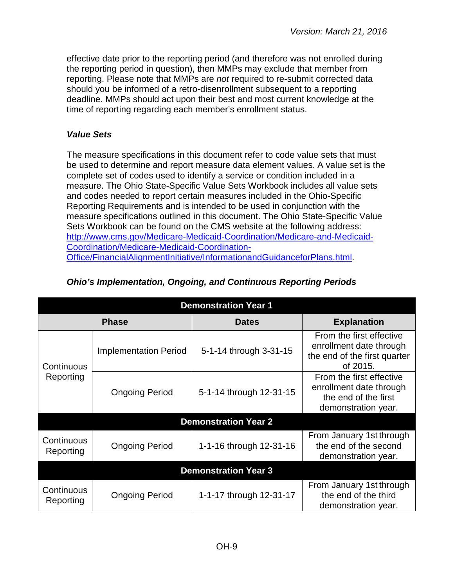effective date prior to the reporting period (and therefore was not enrolled during the reporting period in question), then MMPs may exclude that member from reporting. Please note that MMPs are *not* required to re-submit corrected data should you be informed of a retro-disenrollment subsequent to a reporting deadline. MMPs should act upon their best and most current knowledge at the time of reporting regarding each member's enrollment status.

## <span id="page-8-0"></span>*Value Sets*

The measure specifications in this document refer to code value sets that must be used to determine and report measure data element values. A value set is the complete set of codes used to identify a service or condition included in a measure. The Ohio State-Specific Value Sets Workbook includes all value sets and codes needed to report certain measures included in the Ohio-Specific Reporting Requirements and is intended to be used in conjunction with the measure specifications outlined in this document. The Ohio State-Specific Value Sets Workbook can be found on the CMS website at the following address: [http://www.cms.gov/Medicare-Medicaid-Coordination/Medicare-and-Medicaid-](http://www.cms.gov/Medicare-Medicaid-Coordination/Medicare-and-Medicaid-Coordination/Medicare-Medicaid-Coordination-Office/FinancialAlignmentInitiative/InformationandGuidanceforPlans.html)[Coordination/Medicare-Medicaid-Coordination-](http://www.cms.gov/Medicare-Medicaid-Coordination/Medicare-and-Medicaid-Coordination/Medicare-Medicaid-Coordination-Office/FinancialAlignmentInitiative/InformationandGuidanceforPlans.html)[Office/FinancialAlignmentInitiative/InformationandGuidanceforPlans.html.](http://www.cms.gov/Medicare-Medicaid-Coordination/Medicare-and-Medicaid-Coordination/Medicare-Medicaid-Coordination-Office/FinancialAlignmentInitiative/InformationandGuidanceforPlans.html)

| <b>Demonstration Year 1</b> |                              |                             |                                                                                                    |  |
|-----------------------------|------------------------------|-----------------------------|----------------------------------------------------------------------------------------------------|--|
|                             | <b>Phase</b>                 | <b>Dates</b>                | <b>Explanation</b>                                                                                 |  |
| Continuous<br>Reporting     | <b>Implementation Period</b> | 5-1-14 through 3-31-15      | From the first effective<br>enrollment date through<br>the end of the first quarter<br>of 2015.    |  |
|                             | <b>Ongoing Period</b>        | 5-1-14 through 12-31-15     | From the first effective<br>enrollment date through<br>the end of the first<br>demonstration year. |  |
|                             |                              | <b>Demonstration Year 2</b> |                                                                                                    |  |
| Continuous<br>Reporting     | <b>Ongoing Period</b>        | 1-1-16 through 12-31-16     | From January 1st through<br>the end of the second<br>demonstration year.                           |  |
| <b>Demonstration Year 3</b> |                              |                             |                                                                                                    |  |
| Continuous<br>Reporting     | <b>Ongoing Period</b>        | 1-1-17 through 12-31-17     | From January 1st through<br>the end of the third<br>demonstration year.                            |  |

## <span id="page-8-1"></span>*Ohio's Implementation, Ongoing, and Continuous Reporting Periods*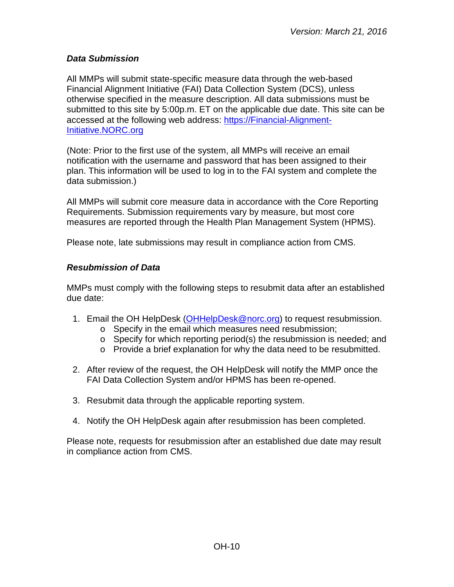## <span id="page-9-0"></span>*Data Submission*

All MMPs will submit state-specific measure data through the web-based Financial Alignment Initiative (FAI) Data Collection System (DCS), unless otherwise specified in the measure description. All data submissions must be submitted to this site by 5:00p.m. ET on the applicable due date. This site can be accessed at the following web address: [https://Financial-Alignment-](https://financial-alignment-initiative.norc.org/)[Initiative.NORC.org](https://financial-alignment-initiative.norc.org/)

(Note: Prior to the first use of the system, all MMPs will receive an email notification with the username and password that has been assigned to their plan. This information will be used to log in to the FAI system and complete the data submission.)

All MMPs will submit core measure data in accordance with the Core Reporting Requirements. Submission requirements vary by measure, but most core measures are reported through the Health Plan Management System (HPMS).

Please note, late submissions may result in compliance action from CMS.

## <span id="page-9-1"></span>*Resubmission of Data*

MMPs must comply with the following steps to resubmit data after an established due date:

- 1. Email the OH HelpDesk [\(OHHelpDesk@norc.org\)](mailto:OHHelpDesk@norc.org) to request resubmission.
	- o Specify in the email which measures need resubmission;
	- o Specify for which reporting period(s) the resubmission is needed; and
	- o Provide a brief explanation for why the data need to be resubmitted.
- 2. After review of the request, the OH HelpDesk will notify the MMP once the FAI Data Collection System and/or HPMS has been re-opened.
- 3. Resubmit data through the applicable reporting system.
- 4. Notify the OH HelpDesk again after resubmission has been completed.

Please note, requests for resubmission after an established due date may result in compliance action from CMS.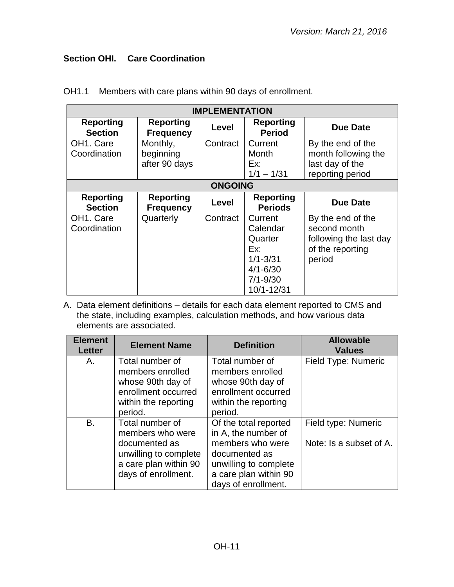# <span id="page-10-0"></span>**Section OHI. Care Coordination**

| <b>IMPLEMENTATION</b>                  |                                        |                |                                                                                                     |                                                                                           |  |
|----------------------------------------|----------------------------------------|----------------|-----------------------------------------------------------------------------------------------------|-------------------------------------------------------------------------------------------|--|
| <b>Reporting</b><br><b>Section</b>     | <b>Reporting</b><br><b>Frequency</b>   | Level          | <b>Reporting</b><br><b>Period</b>                                                                   | <b>Due Date</b>                                                                           |  |
| OH <sub>1</sub> . Care<br>Coordination | Monthly,<br>beginning<br>after 90 days | Contract       | Current<br>Month<br>Ex:<br>$1/1 - 1/31$                                                             | By the end of the<br>month following the<br>last day of the<br>reporting period           |  |
|                                        |                                        | <b>ONGOING</b> |                                                                                                     |                                                                                           |  |
| <b>Reporting</b><br><b>Section</b>     | <b>Reporting</b><br><b>Frequency</b>   | Level          | <b>Reporting</b><br><b>Periods</b>                                                                  | <b>Due Date</b>                                                                           |  |
| OH1. Care<br>Coordination              | Quarterly                              | Contract       | Current<br>Calendar<br>Quarter<br>Ex:<br>$1/1 - 3/31$<br>$4/1 - 6/30$<br>$7/1 - 9/30$<br>10/1-12/31 | By the end of the<br>second month<br>following the last day<br>of the reporting<br>period |  |

OH1.1 Members with care plans within 90 days of enrollment.

| <b>Element</b><br><b>Letter</b> | <b>Element Name</b>   | <b>Definition</b>     | <b>Allowable</b><br><b>Values</b> |
|---------------------------------|-----------------------|-----------------------|-----------------------------------|
| Α.                              | Total number of       | Total number of       | Field Type: Numeric               |
|                                 | members enrolled      | members enrolled      |                                   |
|                                 | whose 90th day of     | whose 90th day of     |                                   |
|                                 | enrollment occurred   | enrollment occurred   |                                   |
|                                 | within the reporting  | within the reporting  |                                   |
|                                 | period.               | period.               |                                   |
| <b>B.</b>                       | Total number of       | Of the total reported | Field type: Numeric               |
|                                 | members who were      | in A, the number of   |                                   |
|                                 | documented as         | members who were      | Note: Is a subset of A.           |
|                                 | unwilling to complete | documented as         |                                   |
|                                 | a care plan within 90 | unwilling to complete |                                   |
|                                 | days of enrollment.   | a care plan within 90 |                                   |
|                                 |                       | days of enrollment.   |                                   |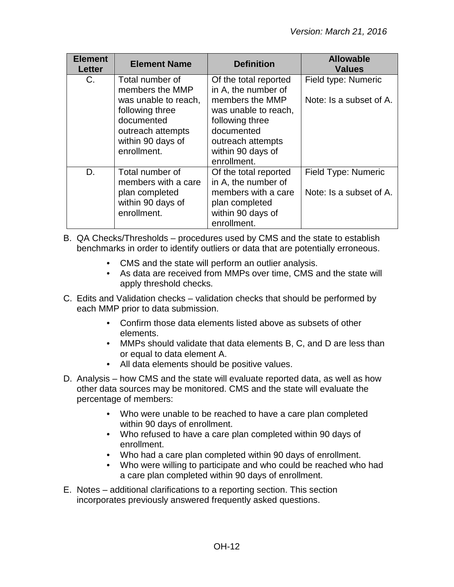| <b>Element</b><br><b>Letter</b> | <b>Element Name</b>                                                                                                                                  | <b>Definition</b>                                                                                                                                                                 | <b>Allowable</b><br><b>Values</b>              |
|---------------------------------|------------------------------------------------------------------------------------------------------------------------------------------------------|-----------------------------------------------------------------------------------------------------------------------------------------------------------------------------------|------------------------------------------------|
| $C_{1}$                         | Total number of<br>members the MMP<br>was unable to reach,<br>following three<br>documented<br>outreach attempts<br>within 90 days of<br>enrollment. | Of the total reported<br>in A, the number of<br>members the MMP<br>was unable to reach,<br>following three<br>documented<br>outreach attempts<br>within 90 days of<br>enrollment. | Field type: Numeric<br>Note: Is a subset of A. |
| D.                              | Total number of<br>members with a care<br>plan completed<br>within 90 days of<br>enrollment.                                                         | Of the total reported<br>in A, the number of<br>members with a care<br>plan completed<br>within 90 days of<br>enrollment.                                                         | Field Type: Numeric<br>Note: Is a subset of A. |

- B. QA Checks/Thresholds procedures used by CMS and the state to establish benchmarks in order to identify outliers or data that are potentially erroneous.
	- CMS and the state will perform an outlier analysis.
	- As data are received from MMPs over time, CMS and the state will apply threshold checks.
- C. Edits and Validation checks validation checks that should be performed by each MMP prior to data submission.
	- Confirm those data elements listed above as subsets of other elements.
	- MMPs should validate that data elements B, C, and D are less than or equal to data element A.
	- All data elements should be positive values.
- D. Analysis how CMS and the state will evaluate reported data, as well as how other data sources may be monitored. CMS and the state will evaluate the percentage of members:
	- Who were unable to be reached to have a care plan completed within 90 days of enrollment.
	- Who refused to have a care plan completed within 90 days of enrollment.
	- Who had a care plan completed within 90 days of enrollment.
	- Who were willing to participate and who could be reached who had a care plan completed within 90 days of enrollment.
- E. Notes additional clarifications to a reporting section. This section incorporates previously answered frequently asked questions.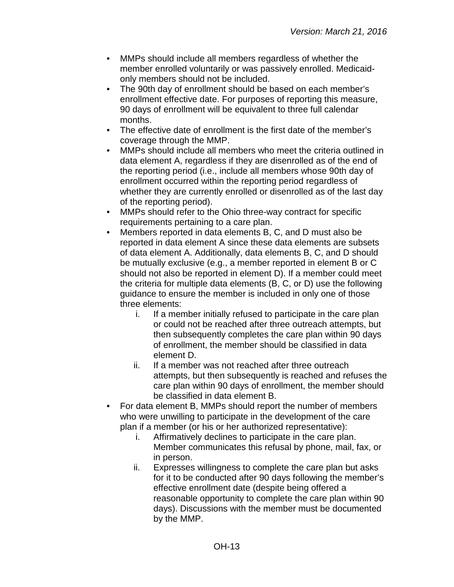- MMPs should include all members regardless of whether the member enrolled voluntarily or was passively enrolled. Medicaidonly members should not be included.
- The 90th day of enrollment should be based on each member's enrollment effective date. For purposes of reporting this measure, 90 days of enrollment will be equivalent to three full calendar months.
- The effective date of enrollment is the first date of the member's coverage through the MMP.
- MMPs should include all members who meet the criteria outlined in data element A, regardless if they are disenrolled as of the end of the reporting period (i.e., include all members whose 90th day of enrollment occurred within the reporting period regardless of whether they are currently enrolled or disenrolled as of the last day of the reporting period).
- MMPs should refer to the Ohio three-way contract for specific requirements pertaining to a care plan.
- Members reported in data elements B, C, and D must also be reported in data element A since these data elements are subsets of data element A. Additionally, data elements B, C, and D should be mutually exclusive (e.g., a member reported in element B or C should not also be reported in element D). If a member could meet the criteria for multiple data elements (B, C, or D) use the following guidance to ensure the member is included in only one of those three elements:
	- i. If a member initially refused to participate in the care plan or could not be reached after three outreach attempts, but then subsequently completes the care plan within 90 days of enrollment, the member should be classified in data element D.
	- ii. If a member was not reached after three outreach attempts, but then subsequently is reached and refuses the care plan within 90 days of enrollment, the member should be classified in data element B.
- For data element B, MMPs should report the number of members who were unwilling to participate in the development of the care plan if a member (or his or her authorized representative):
	- i. Affirmatively declines to participate in the care plan. Member communicates this refusal by phone, mail, fax, or in person.
	- ii. Expresses willingness to complete the care plan but asks for it to be conducted after 90 days following the member's effective enrollment date (despite being offered a reasonable opportunity to complete the care plan within 90 days). Discussions with the member must be documented by the MMP.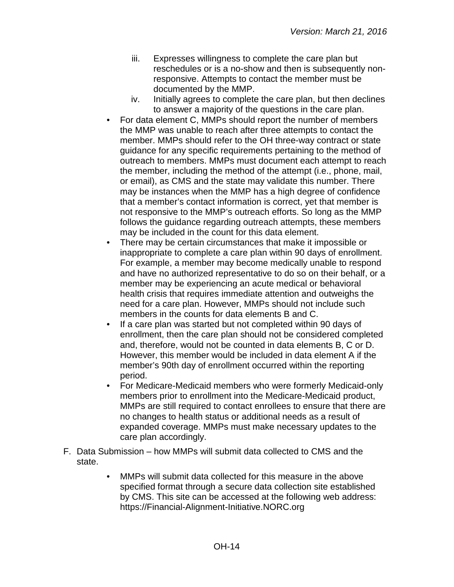- iii. Expresses willingness to complete the care plan but reschedules or is a no-show and then is subsequently nonresponsive. Attempts to contact the member must be documented by the MMP.
- iv. Initially agrees to complete the care plan, but then declines to answer a majority of the questions in the care plan.
- For data element C, MMPs should report the number of members the MMP was unable to reach after three attempts to contact the member. MMPs should refer to the OH three-way contract or state guidance for any specific requirements pertaining to the method of outreach to members. MMPs must document each attempt to reach the member, including the method of the attempt (i.e., phone, mail, or email), as CMS and the state may validate this number. There may be instances when the MMP has a high degree of confidence that a member's contact information is correct, yet that member is not responsive to the MMP's outreach efforts. So long as the MMP follows the guidance regarding outreach attempts, these members may be included in the count for this data element.
- There may be certain circumstances that make it impossible or inappropriate to complete a care plan within 90 days of enrollment. For example, a member may become medically unable to respond and have no authorized representative to do so on their behalf, or a member may be experiencing an acute medical or behavioral health crisis that requires immediate attention and outweighs the need for a care plan. However, MMPs should not include such members in the counts for data elements B and C.
- If a care plan was started but not completed within 90 days of enrollment, then the care plan should not be considered completed and, therefore, would not be counted in data elements B, C or D. However, this member would be included in data element A if the member's 90th day of enrollment occurred within the reporting period.
- For Medicare-Medicaid members who were formerly Medicaid-only members prior to enrollment into the Medicare-Medicaid product, MMPs are still required to contact enrollees to ensure that there are no changes to health status or additional needs as a result of expanded coverage. MMPs must make necessary updates to the care plan accordingly.
- F. Data Submission how MMPs will submit data collected to CMS and the state.
	- MMPs will submit data collected for this measure in the above specified format through a secure data collection site established by CMS. This site can be accessed at the following web address: [https://Financial-Alignment-Initiative.NORC.org](https://financial-alignment-initiative.norc.org/)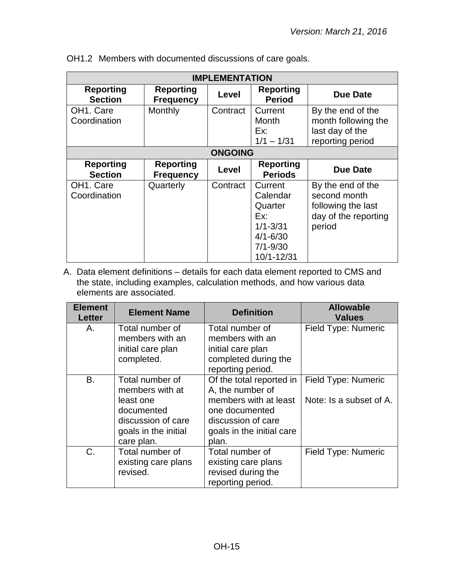| <b>IMPLEMENTATION</b>                  |                                      |                |                                                                                                     |                                                                                           |
|----------------------------------------|--------------------------------------|----------------|-----------------------------------------------------------------------------------------------------|-------------------------------------------------------------------------------------------|
| <b>Reporting</b><br><b>Section</b>     | <b>Reporting</b><br><b>Frequency</b> | Level          | <b>Reporting</b><br><b>Period</b>                                                                   | Due Date                                                                                  |
| OH <sub>1</sub> . Care<br>Coordination | Monthly                              | Contract       | Current<br>Month<br>Ex:<br>$1/1 - 1/31$                                                             | By the end of the<br>month following the<br>last day of the<br>reporting period           |
|                                        |                                      | <b>ONGOING</b> |                                                                                                     |                                                                                           |
| <b>Reporting</b><br><b>Section</b>     | <b>Reporting</b><br><b>Frequency</b> | Level          | <b>Reporting</b><br><b>Periods</b>                                                                  | <b>Due Date</b>                                                                           |
| OH <sub>1</sub> . Care<br>Coordination | Quarterly                            | Contract       | Current<br>Calendar<br>Quarter<br>Fx:<br>$1/1 - 3/31$<br>$4/1 - 6/30$<br>$7/1 - 9/30$<br>10/1-12/31 | By the end of the<br>second month<br>following the last<br>day of the reporting<br>period |

OH1.2 Members with documented discussions of care goals.

| <b>Element</b><br><b>Letter</b> | <b>Element Name</b>                                                                                                       | <b>Definition</b>                                                                                                                                   | <b>Allowable</b><br><b>Values</b>              |
|---------------------------------|---------------------------------------------------------------------------------------------------------------------------|-----------------------------------------------------------------------------------------------------------------------------------------------------|------------------------------------------------|
| Α.                              | Total number of<br>members with an<br>initial care plan                                                                   | Total number of<br>members with an<br>initial care plan                                                                                             | Field Type: Numeric                            |
|                                 | completed.                                                                                                                | completed during the<br>reporting period.                                                                                                           |                                                |
| B.                              | Total number of<br>members with at<br>least one<br>documented<br>discussion of care<br>goals in the initial<br>care plan. | Of the total reported in<br>A, the number of<br>members with at least<br>one documented<br>discussion of care<br>goals in the initial care<br>plan. | Field Type: Numeric<br>Note: Is a subset of A. |
| $C_{\cdot}$                     | Total number of<br>existing care plans<br>revised.                                                                        | Total number of<br>existing care plans<br>revised during the<br>reporting period.                                                                   | Field Type: Numeric                            |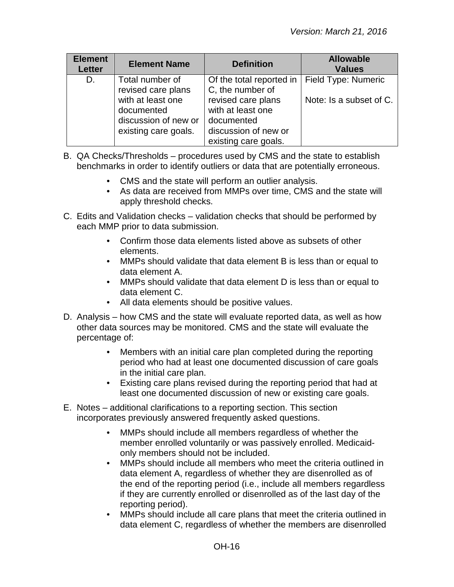| <b>Element</b><br><b>Letter</b> | <b>Element Name</b>                                                             | <b>Definition</b>                                                                                     | <b>Allowable</b><br><b>Values</b> |
|---------------------------------|---------------------------------------------------------------------------------|-------------------------------------------------------------------------------------------------------|-----------------------------------|
| D.                              | Total number of<br>revised care plans                                           | Of the total reported in<br>C, the number of                                                          | Field Type: Numeric               |
|                                 | with at least one<br>documented<br>discussion of new or<br>existing care goals. | revised care plans<br>with at least one<br>documented<br>discussion of new or<br>existing care goals. | Note: Is a subset of C.           |

- B. QA Checks/Thresholds procedures used by CMS and the state to establish benchmarks in order to identify outliers or data that are potentially erroneous.
	- CMS and the state will perform an outlier analysis.
	- As data are received from MMPs over time, CMS and the state will apply threshold checks.
- C. Edits and Validation checks validation checks that should be performed by each MMP prior to data submission.
	- Confirm those data elements listed above as subsets of other elements.
	- MMPs should validate that data element B is less than or equal to data element A.
	- MMPs should validate that data element D is less than or equal to data element C.
	- All data elements should be positive values.
- D. Analysis how CMS and the state will evaluate reported data, as well as how other data sources may be monitored. CMS and the state will evaluate the percentage of:
	- Members with an initial care plan completed during the reporting period who had at least one documented discussion of care goals in the initial care plan.
	- Existing care plans revised during the reporting period that had at least one documented discussion of new or existing care goals.
- E. Notes additional clarifications to a reporting section. This section incorporates previously answered frequently asked questions.
	- MMPs should include all members regardless of whether the member enrolled voluntarily or was passively enrolled. Medicaidonly members should not be included.
	- MMPs should include all members who meet the criteria outlined in data element A, regardless of whether they are disenrolled as of the end of the reporting period (i.e., include all members regardless if they are currently enrolled or disenrolled as of the last day of the reporting period).
	- MMPs should include all care plans that meet the criteria outlined in data element C, regardless of whether the members are disenrolled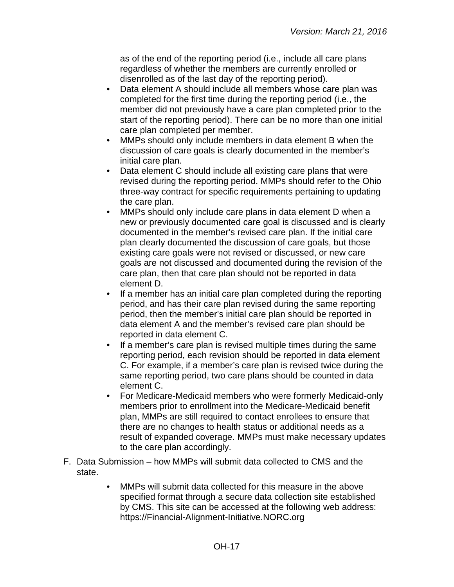as of the end of the reporting period (i.e., include all care plans regardless of whether the members are currently enrolled or disenrolled as of the last day of the reporting period).

- Data element A should include all members whose care plan was completed for the first time during the reporting period (i.e., the member did not previously have a care plan completed prior to the start of the reporting period). There can be no more than one initial care plan completed per member.
- MMPs should only include members in data element B when the discussion of care goals is clearly documented in the member's initial care plan.
- Data element C should include all existing care plans that were revised during the reporting period. MMPs should refer to the Ohio three-way contract for specific requirements pertaining to updating the care plan.
- MMPs should only include care plans in data element D when a new or previously documented care goal is discussed and is clearly documented in the member's revised care plan. If the initial care plan clearly documented the discussion of care goals, but those existing care goals were not revised or discussed, or new care goals are not discussed and documented during the revision of the care plan, then that care plan should not be reported in data element D.
- If a member has an initial care plan completed during the reporting period, and has their care plan revised during the same reporting period, then the member's initial care plan should be reported in data element A and the member's revised care plan should be reported in data element C.
- If a member's care plan is revised multiple times during the same reporting period, each revision should be reported in data element C. For example, if a member's care plan is revised twice during the same reporting period, two care plans should be counted in data element C.
- For Medicare-Medicaid members who were formerly Medicaid-only members prior to enrollment into the Medicare-Medicaid benefit plan, MMPs are still required to contact enrollees to ensure that there are no changes to health status or additional needs as a result of expanded coverage. MMPs must make necessary updates to the care plan accordingly.
- F. Data Submission how MMPs will submit data collected to CMS and the state.
	- MMPs will submit data collected for this measure in the above specified format through a secure data collection site established by CMS. This site can be accessed at the following web address: [https://Financial-Alignment-Initiative.NORC.org](https://financial-alignment-initiative.norc.org/)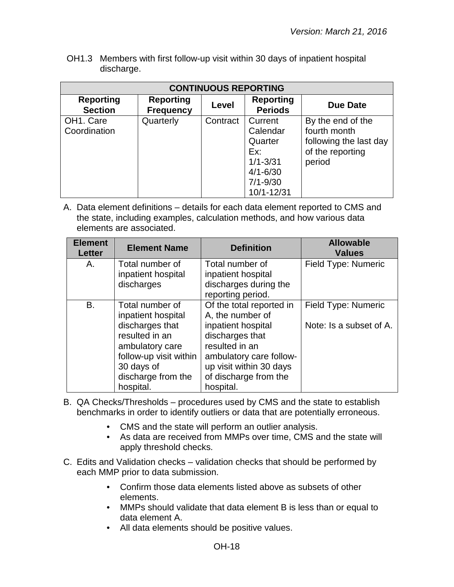OH1.3 Members with first follow-up visit within 30 days of inpatient hospital discharge.

| <b>CONTINUOUS REPORTING</b>            |                                      |          |                                                                                       |                                                                                           |  |
|----------------------------------------|--------------------------------------|----------|---------------------------------------------------------------------------------------|-------------------------------------------------------------------------------------------|--|
| <b>Reporting</b><br><b>Section</b>     | <b>Reporting</b><br><b>Frequency</b> | Level    | <b>Reporting</b><br><b>Periods</b>                                                    | Due Date                                                                                  |  |
| OH <sub>1</sub> . Care<br>Coordination | Quarterly                            | Contract | Current<br>Calendar<br>Quarter<br>Ex:<br>$1/1 - 3/31$<br>$4/1 - 6/30$<br>$7/1 - 9/30$ | By the end of the<br>fourth month<br>following the last day<br>of the reporting<br>period |  |
|                                        |                                      |          | 10/1-12/31                                                                            |                                                                                           |  |

| <b>Element</b><br><b>Letter</b> | <b>Element Name</b>    | <b>Definition</b>        | <b>Allowable</b><br><b>Values</b> |
|---------------------------------|------------------------|--------------------------|-----------------------------------|
| Α.                              | Total number of        | Total number of          | Field Type: Numeric               |
|                                 | inpatient hospital     | inpatient hospital       |                                   |
|                                 | discharges             | discharges during the    |                                   |
|                                 |                        | reporting period.        |                                   |
| B.                              | Total number of        | Of the total reported in | Field Type: Numeric               |
|                                 | inpatient hospital     | A, the number of         |                                   |
|                                 | discharges that        | inpatient hospital       | Note: Is a subset of A.           |
|                                 | resulted in an         | discharges that          |                                   |
|                                 | ambulatory care        | resulted in an           |                                   |
|                                 | follow-up visit within | ambulatory care follow-  |                                   |
|                                 | 30 days of             | up visit within 30 days  |                                   |
|                                 | discharge from the     | of discharge from the    |                                   |
|                                 | hospital.              | hospital.                |                                   |

- B. QA Checks/Thresholds procedures used by CMS and the state to establish benchmarks in order to identify outliers or data that are potentially erroneous.
	- CMS and the state will perform an outlier analysis.
	- As data are received from MMPs over time, CMS and the state will apply threshold checks.
- C. Edits and Validation checks validation checks that should be performed by each MMP prior to data submission.
	- Confirm those data elements listed above as subsets of other elements.
	- MMPs should validate that data element B is less than or equal to data element A.
	- All data elements should be positive values.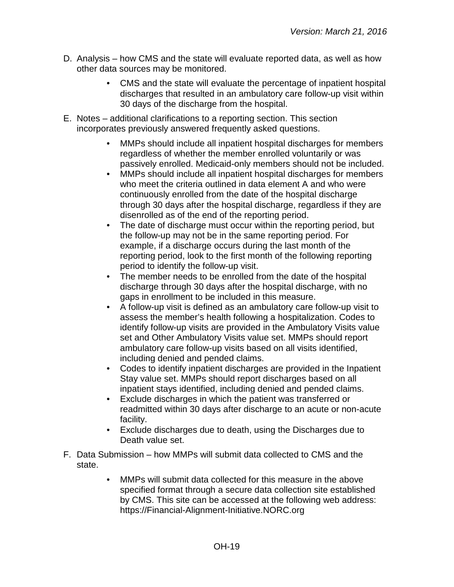- D. Analysis how CMS and the state will evaluate reported data, as well as how other data sources may be monitored.
	- CMS and the state will evaluate the percentage of inpatient hospital discharges that resulted in an ambulatory care follow-up visit within 30 days of the discharge from the hospital.
- E. Notes additional clarifications to a reporting section. This section incorporates previously answered frequently asked questions.
	- MMPs should include all inpatient hospital discharges for members regardless of whether the member enrolled voluntarily or was passively enrolled. Medicaid-only members should not be included.
	- MMPs should include all inpatient hospital discharges for members who meet the criteria outlined in data element A and who were continuously enrolled from the date of the hospital discharge through 30 days after the hospital discharge, regardless if they are disenrolled as of the end of the reporting period.
	- The date of discharge must occur within the reporting period, but the follow-up may not be in the same reporting period. For example, if a discharge occurs during the last month of the reporting period, look to the first month of the following reporting period to identify the follow-up visit.
	- The member needs to be enrolled from the date of the hospital discharge through 30 days after the hospital discharge, with no gaps in enrollment to be included in this measure.
	- A follow-up visit is defined as an ambulatory care follow-up visit to assess the member's health following a hospitalization. Codes to identify follow-up visits are provided in the Ambulatory Visits value set and Other Ambulatory Visits value set. MMPs should report ambulatory care follow-up visits based on all visits identified, including denied and pended claims.
	- Codes to identify inpatient discharges are provided in the Inpatient Stay value set. MMPs should report discharges based on all inpatient stays identified, including denied and pended claims.
	- Exclude discharges in which the patient was transferred or readmitted within 30 days after discharge to an acute or non-acute facility.
	- Exclude discharges due to death, using the Discharges due to Death value set.
- F. Data Submission how MMPs will submit data collected to CMS and the state.
	- MMPs will submit data collected for this measure in the above specified format through a secure data collection site established by CMS. This site can be accessed at the following web address: [https://Financial-Alignment-Initiative.NORC.org](https://financial-alignment-initiative.norc.org/)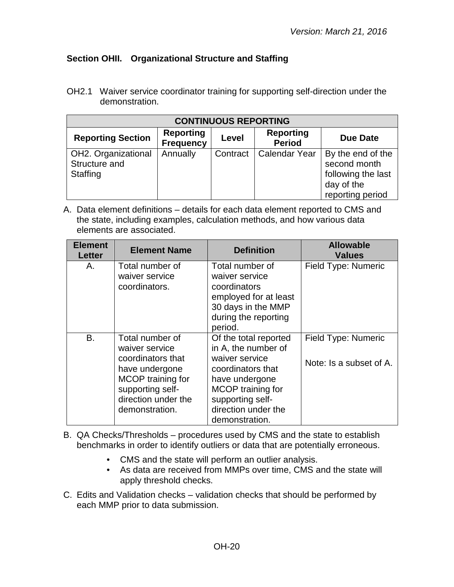## <span id="page-19-0"></span>**Section OHII. Organizational Structure and Staffing**

OH2.1 Waiver service coordinator training for supporting self-direction under the demonstration.

| <b>CONTINUOUS REPORTING</b>                      |                                      |          |                                   |                                                                                           |
|--------------------------------------------------|--------------------------------------|----------|-----------------------------------|-------------------------------------------------------------------------------------------|
| <b>Reporting Section</b>                         | <b>Reporting</b><br><b>Frequency</b> | Level    | <b>Reporting</b><br><b>Period</b> | <b>Due Date</b>                                                                           |
| OH2. Organizational<br>Structure and<br>Staffing | Annually                             | Contract | <b>Calendar Year</b>              | By the end of the<br>second month<br>following the last<br>day of the<br>reporting period |

| <b>Element</b><br><b>Letter</b> | <b>Element Name</b>                                                                                                                                        | <b>Definition</b>                                                                                                                                                                       | <b>Allowable</b><br><b>Values</b>                     |
|---------------------------------|------------------------------------------------------------------------------------------------------------------------------------------------------------|-----------------------------------------------------------------------------------------------------------------------------------------------------------------------------------------|-------------------------------------------------------|
| А.                              | Total number of<br>waiver service<br>coordinators.                                                                                                         | Total number of<br>waiver service<br>coordinators<br>employed for at least<br>30 days in the MMP<br>during the reporting<br>period.                                                     | Field Type: Numeric                                   |
| В.                              | Total number of<br>waiver service<br>coordinators that<br>have undergone<br>MCOP training for<br>supporting self-<br>direction under the<br>demonstration. | Of the total reported<br>in A, the number of<br>waiver service<br>coordinators that<br>have undergone<br>MCOP training for<br>supporting self-<br>direction under the<br>demonstration. | <b>Field Type: Numeric</b><br>Note: Is a subset of A. |

- B. QA Checks/Thresholds procedures used by CMS and the state to establish benchmarks in order to identify outliers or data that are potentially erroneous.
	- CMS and the state will perform an outlier analysis.
	- As data are received from MMPs over time, CMS and the state will apply threshold checks.
- C. Edits and Validation checks validation checks that should be performed by each MMP prior to data submission.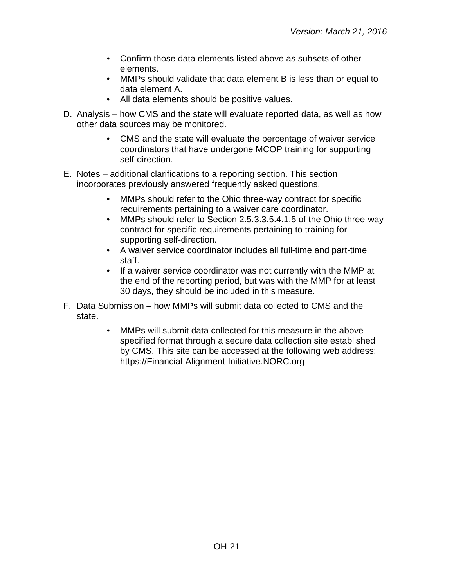- Confirm those data elements listed above as subsets of other elements.
- MMPs should validate that data element B is less than or equal to data element A.
- All data elements should be positive values.
- D. Analysis how CMS and the state will evaluate reported data, as well as how other data sources may be monitored.
	- CMS and the state will evaluate the percentage of waiver service coordinators that have undergone MCOP training for supporting self-direction.
- E. Notes additional clarifications to a reporting section. This section incorporates previously answered frequently asked questions.
	- MMPs should refer to the Ohio three-way contract for specific requirements pertaining to a waiver care coordinator.
	- MMPs should refer to Section 2.5.3.3.5.4.1.5 of the Ohio three-way contract for specific requirements pertaining to training for supporting self-direction.
	- A waiver service coordinator includes all full-time and part-time staff.
	- If a waiver service coordinator was not currently with the MMP at the end of the reporting period, but was with the MMP for at least 30 days, they should be included in this measure.
- F. Data Submission how MMPs will submit data collected to CMS and the state.
	- MMPs will submit data collected for this measure in the above specified format through a secure data collection site established by CMS. This site can be accessed at the following web address: [https://Financial-Alignment-Initiative.NORC.org](https://financial-alignment-initiative.norc.org/)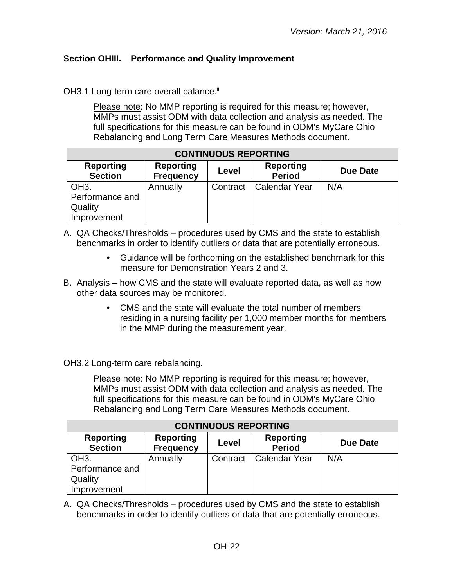## <span id="page-21-0"></span>**Section OHIII. Performance and Quality Improvement**

OH3.1 Long-term care overall balance.<sup>ii</sup>

Please note: No MMP reporting is required for this measure; however, MMPs must assist ODM with data collection and analysis as needed. The full specifications for this measure can be found in ODM's MyCare Ohio Rebalancing and Long Term Care Measures Methods document.

| <b>CONTINUOUS REPORTING</b>          |                                      |          |                                   |          |
|--------------------------------------|--------------------------------------|----------|-----------------------------------|----------|
| <b>Reporting</b><br><b>Section</b>   | <b>Reporting</b><br><b>Frequency</b> | Level    | <b>Reporting</b><br><b>Period</b> | Due Date |
| OH <sub>3</sub> .<br>Performance and | Annually                             | Contract | <b>Calendar Year</b>              | N/A      |
| Quality<br>Improvement               |                                      |          |                                   |          |

- A. QA Checks/Thresholds procedures used by CMS and the state to establish benchmarks in order to identify outliers or data that are potentially erroneous.
	- Guidance will be forthcoming on the established benchmark for this measure for Demonstration Years 2 and 3.
- B. Analysis how CMS and the state will evaluate reported data, as well as how other data sources may be monitored.
	- CMS and the state will evaluate the total number of members residing in a nursing facility per 1,000 member months for members in the MMP during the measurement year.

OH3.2 Long-term care rebalancing.

Please note: No MMP reporting is required for this measure; however, MMPs must assist ODM with data collection and analysis as needed. The full specifications for this measure can be found in ODM's MyCare Ohio Rebalancing and Long Term Care Measures Methods document.

| <b>CONTINUOUS REPORTING</b>        |                                      |          |                                   |          |
|------------------------------------|--------------------------------------|----------|-----------------------------------|----------|
| <b>Reporting</b><br><b>Section</b> | <b>Reporting</b><br><b>Frequency</b> | Level    | <b>Reporting</b><br><b>Period</b> | Due Date |
| OH <sub>3</sub> .                  | Annually                             | Contract | <b>Calendar Year</b>              | N/A      |
| Performance and                    |                                      |          |                                   |          |
| Quality                            |                                      |          |                                   |          |
| Improvement                        |                                      |          |                                   |          |

A. QA Checks/Thresholds – procedures used by CMS and the state to establish benchmarks in order to identify outliers or data that are potentially erroneous.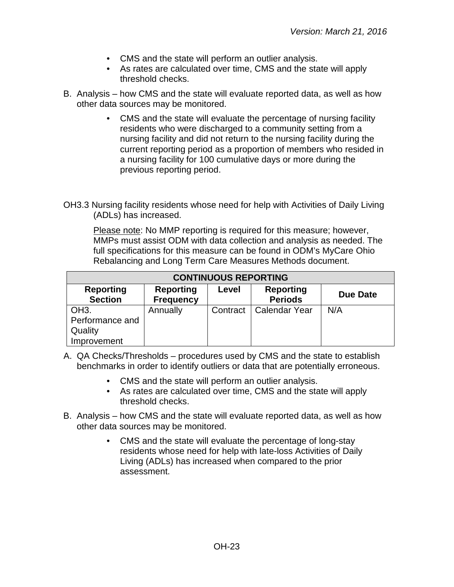- CMS and the state will perform an outlier analysis.
- As rates are calculated over time, CMS and the state will apply threshold checks.
- B. Analysis how CMS and the state will evaluate reported data, as well as how other data sources may be monitored.
	- CMS and the state will evaluate the percentage of nursing facility residents who were discharged to a community setting from a nursing facility and did not return to the nursing facility during the current reporting period as a proportion of members who resided in a nursing facility for 100 cumulative days or more during the previous reporting period.
- OH3.3 Nursing facility residents whose need for help with Activities of Daily Living (ADLs) has increased.

| <b>CONTINUOUS REPORTING</b>                     |                                      |          |                                    |          |
|-------------------------------------------------|--------------------------------------|----------|------------------------------------|----------|
| <b>Reporting</b><br><b>Section</b>              | <b>Reporting</b><br><b>Frequency</b> | Level    | <b>Reporting</b><br><b>Periods</b> | Due Date |
| OH <sub>3</sub> .<br>Performance and<br>Quality | Annually                             | Contract | <b>Calendar Year</b>               | N/A      |
| Improvement                                     |                                      |          |                                    |          |

- A. QA Checks/Thresholds procedures used by CMS and the state to establish benchmarks in order to identify outliers or data that are potentially erroneous.
	- CMS and the state will perform an outlier analysis.
	- As rates are calculated over time, CMS and the state will apply threshold checks.
- B. Analysis how CMS and the state will evaluate reported data, as well as how other data sources may be monitored.
	- CMS and the state will evaluate the percentage of long-stay residents whose need for help with late-loss Activities of Daily Living (ADLs) has increased when compared to the prior assessment.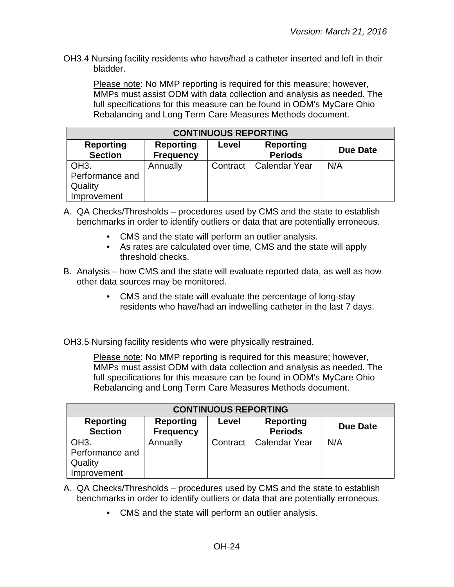OH3.4 Nursing facility residents who have/had a catheter inserted and left in their bladder.

Please note: No MMP reporting is required for this measure; however, MMPs must assist ODM with data collection and analysis as needed. The full specifications for this measure can be found in ODM's MyCare Ohio Rebalancing and Long Term Care Measures Methods document.

| <b>CONTINUOUS REPORTING</b>                                    |                                      |          |                                    |          |
|----------------------------------------------------------------|--------------------------------------|----------|------------------------------------|----------|
| <b>Reporting</b><br><b>Section</b>                             | <b>Reporting</b><br><b>Frequency</b> | Level    | <b>Reporting</b><br><b>Periods</b> | Due Date |
| OH <sub>3</sub> .<br>Performance and<br>Quality<br>Improvement | Annually                             | Contract | <b>Calendar Year</b>               | N/A      |

- A. QA Checks/Thresholds procedures used by CMS and the state to establish benchmarks in order to identify outliers or data that are potentially erroneous.
	- CMS and the state will perform an outlier analysis.
	- As rates are calculated over time, CMS and the state will apply threshold checks.
- B. Analysis how CMS and the state will evaluate reported data, as well as how other data sources may be monitored.
	- CMS and the state will evaluate the percentage of long-stay residents who have/had an indwelling catheter in the last 7 days.

OH3.5 Nursing facility residents who were physically restrained.

| <b>CONTINUOUS REPORTING</b>                                    |                                      |          |                                    |          |
|----------------------------------------------------------------|--------------------------------------|----------|------------------------------------|----------|
| <b>Reporting</b><br><b>Section</b>                             | <b>Reporting</b><br><b>Frequency</b> | Level    | <b>Reporting</b><br><b>Periods</b> | Due Date |
| OH <sub>3</sub> .<br>Performance and<br>Quality<br>Improvement | Annually                             | Contract | <b>Calendar Year</b>               | N/A      |

- A. QA Checks/Thresholds procedures used by CMS and the state to establish benchmarks in order to identify outliers or data that are potentially erroneous.
	- CMS and the state will perform an outlier analysis.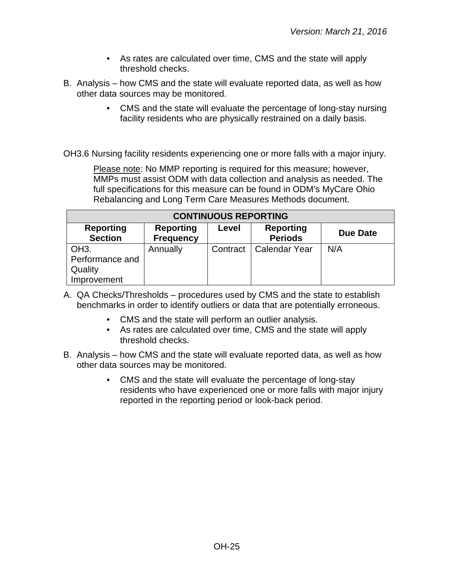- As rates are calculated over time, CMS and the state will apply threshold checks.
- B. Analysis how CMS and the state will evaluate reported data, as well as how other data sources may be monitored.
	- CMS and the state will evaluate the percentage of long-stay nursing facility residents who are physically restrained on a daily basis.
- OH3.6 Nursing facility residents experiencing one or more falls with a major injury.

| <b>CONTINUOUS REPORTING</b>                                    |                                      |          |                                    |          |
|----------------------------------------------------------------|--------------------------------------|----------|------------------------------------|----------|
| <b>Reporting</b><br><b>Section</b>                             | <b>Reporting</b><br><b>Frequency</b> | Level    | <b>Reporting</b><br><b>Periods</b> | Due Date |
| OH <sub>3</sub> .<br>Performance and<br>Quality<br>Improvement | Annually                             | Contract | <b>Calendar Year</b>               | N/A      |

- A. QA Checks/Thresholds procedures used by CMS and the state to establish benchmarks in order to identify outliers or data that are potentially erroneous.
	- CMS and the state will perform an outlier analysis.
	- As rates are calculated over time, CMS and the state will apply threshold checks.
- B. Analysis how CMS and the state will evaluate reported data, as well as how other data sources may be monitored.
	- CMS and the state will evaluate the percentage of long-stay residents who have experienced one or more falls with major injury reported in the reporting period or look-back period.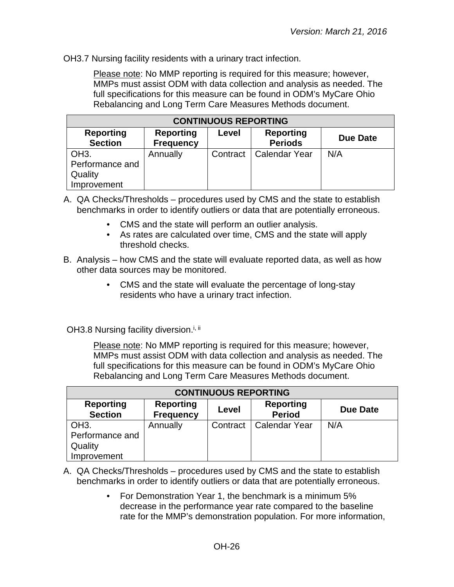OH3.7 Nursing facility residents with a urinary tract infection.

Please note: No MMP reporting is required for this measure; however, MMPs must assist ODM with data collection and analysis as needed. The full specifications for this measure can be found in ODM's MyCare Ohio Rebalancing and Long Term Care Measures Methods document.

| <b>CONTINUOUS REPORTING</b>                                    |                                      |          |                                    |          |
|----------------------------------------------------------------|--------------------------------------|----------|------------------------------------|----------|
| <b>Reporting</b><br><b>Section</b>                             | <b>Reporting</b><br><b>Frequency</b> | Level    | <b>Reporting</b><br><b>Periods</b> | Due Date |
| OH <sub>3</sub> .<br>Performance and<br>Quality<br>Improvement | Annually                             | Contract | <b>Calendar Year</b>               | N/A      |

A. QA Checks/Thresholds – procedures used by CMS and the state to establish benchmarks in order to identify outliers or data that are potentially erroneous.

- CMS and the state will perform an outlier analysis.
- As rates are calculated over time, CMS and the state will apply threshold checks.
- B. Analysis how CMS and the state will evaluate reported data, as well as how other data sources may be monitored.
	- CMS and the state will evaluate the percentage of long-stay residents who have a urinary tract infection.

OH3.8 Nursing facility diversion.<sup>i, ii</sup>

| <b>CONTINUOUS REPORTING</b>        |                                      |          |                                   |                 |
|------------------------------------|--------------------------------------|----------|-----------------------------------|-----------------|
| <b>Reporting</b><br><b>Section</b> | <b>Reporting</b><br><b>Frequency</b> | Level    | <b>Reporting</b><br><b>Period</b> | <b>Due Date</b> |
| OH <sub>3</sub> .                  | Annually                             | Contract | <b>Calendar Year</b>              | N/A             |
| Performance and                    |                                      |          |                                   |                 |
| Quality                            |                                      |          |                                   |                 |
| Improvement                        |                                      |          |                                   |                 |

- A. QA Checks/Thresholds procedures used by CMS and the state to establish benchmarks in order to identify outliers or data that are potentially erroneous.
	- For Demonstration Year 1, the benchmark is a minimum 5% decrease in the performance year rate compared to the baseline rate for the MMP's demonstration population. For more information,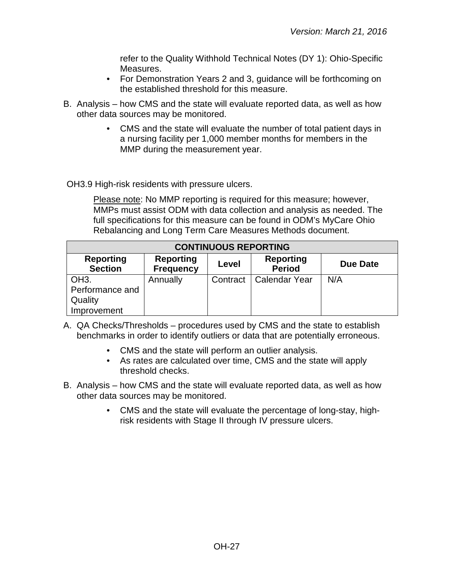refer to the Quality Withhold Technical Notes (DY 1): Ohio-Specific Measures.

- For Demonstration Years 2 and 3, guidance will be forthcoming on the established threshold for this measure.
- B. Analysis how CMS and the state will evaluate reported data, as well as how other data sources may be monitored.
	- CMS and the state will evaluate the number of total patient days in a nursing facility per 1,000 member months for members in the MMP during the measurement year.

OH3.9 High-risk residents with pressure ulcers.

| <b>CONTINUOUS REPORTING</b>                                    |                                      |          |                                   |                 |
|----------------------------------------------------------------|--------------------------------------|----------|-----------------------------------|-----------------|
| <b>Reporting</b><br><b>Section</b>                             | <b>Reporting</b><br><b>Frequency</b> | Level    | <b>Reporting</b><br><b>Period</b> | <b>Due Date</b> |
| OH <sub>3</sub> .<br>Performance and<br>Quality<br>Improvement | Annually                             | Contract | <b>Calendar Year</b>              | N/A             |

- A. QA Checks/Thresholds procedures used by CMS and the state to establish benchmarks in order to identify outliers or data that are potentially erroneous.
	- CMS and the state will perform an outlier analysis.
	- As rates are calculated over time, CMS and the state will apply threshold checks.
- B. Analysis how CMS and the state will evaluate reported data, as well as how other data sources may be monitored.
	- CMS and the state will evaluate the percentage of long-stay, highrisk residents with Stage II through IV pressure ulcers.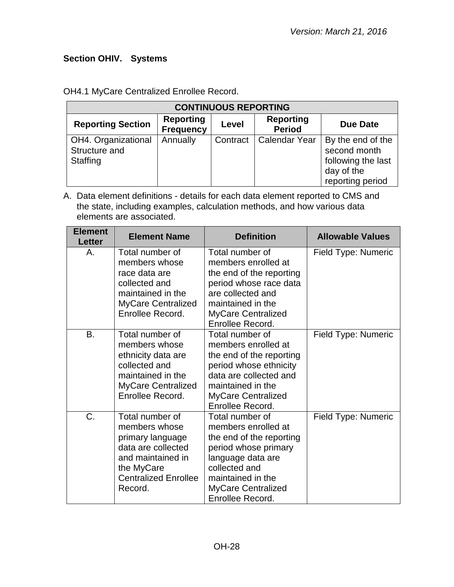# <span id="page-27-0"></span>**Section OHIV. Systems**

| <b>CONTINUOUS REPORTING</b>                                                                                                       |          |          |               |                                                                                           |  |
|-----------------------------------------------------------------------------------------------------------------------------------|----------|----------|---------------|-------------------------------------------------------------------------------------------|--|
| <b>Reporting</b><br><b>Reporting</b><br><b>Reporting Section</b><br><b>Due Date</b><br>Level<br><b>Period</b><br><b>Frequency</b> |          |          |               |                                                                                           |  |
| OH4. Organizational<br>Structure and<br>Staffing                                                                                  | Annually | Contract | Calendar Year | By the end of the<br>second month<br>following the last<br>day of the<br>reporting period |  |

OH4.1 MyCare Centralized Enrollee Record.

| <b>Element</b><br><b>Letter</b> | <b>Element Name</b>                                                                                                                                     | <b>Definition</b>                                                                                                                                                                               | <b>Allowable Values</b> |
|---------------------------------|---------------------------------------------------------------------------------------------------------------------------------------------------------|-------------------------------------------------------------------------------------------------------------------------------------------------------------------------------------------------|-------------------------|
| А.                              | Total number of<br>members whose<br>race data are<br>collected and<br>maintained in the<br><b>MyCare Centralized</b><br>Enrollee Record.                | Total number of<br>members enrolled at<br>the end of the reporting<br>period whose race data<br>are collected and<br>maintained in the<br><b>MyCare Centralized</b><br>Enrollee Record.         | Field Type: Numeric     |
| <b>B.</b>                       | Total number of<br>members whose<br>ethnicity data are<br>collected and<br>maintained in the<br><b>MyCare Centralized</b><br>Enrollee Record.           | Total number of<br>members enrolled at<br>the end of the reporting<br>period whose ethnicity<br>data are collected and<br>maintained in the<br>MyCare Centralized<br>Enrollee Record.           | Field Type: Numeric     |
| C.                              | Total number of<br>members whose<br>primary language<br>data are collected<br>and maintained in<br>the MyCare<br><b>Centralized Enrollee</b><br>Record. | Total number of<br>members enrolled at<br>the end of the reporting<br>period whose primary<br>language data are<br>collected and<br>maintained in the<br>MyCare Centralized<br>Enrollee Record. | Field Type: Numeric     |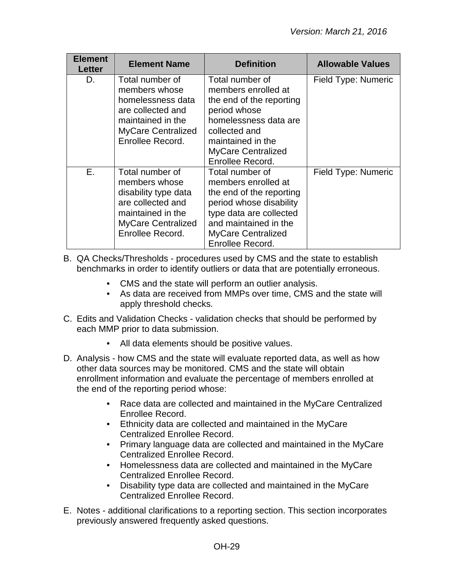| <b>Element</b><br><b>Letter</b> | <b>Element Name</b>                                                                                                                                 | <b>Definition</b>                                                                                                                                                                                  | <b>Allowable Values</b> |
|---------------------------------|-----------------------------------------------------------------------------------------------------------------------------------------------------|----------------------------------------------------------------------------------------------------------------------------------------------------------------------------------------------------|-------------------------|
| D.                              | Total number of<br>members whose<br>homelessness data<br>are collected and<br>maintained in the<br><b>MyCare Centralized</b><br>Enrollee Record.    | Total number of<br>members enrolled at<br>the end of the reporting<br>period whose<br>homelessness data are<br>collected and<br>maintained in the<br><b>MyCare Centralized</b><br>Enrollee Record. | Field Type: Numeric     |
| E.                              | Total number of<br>members whose<br>disability type data<br>are collected and<br>maintained in the<br><b>MyCare Centralized</b><br>Enrollee Record. | Total number of<br>members enrolled at<br>the end of the reporting<br>period whose disability<br>type data are collected<br>and maintained in the<br><b>MyCare Centralized</b><br>Enrollee Record. | Field Type: Numeric     |

- B. QA Checks/Thresholds procedures used by CMS and the state to establish benchmarks in order to identify outliers or data that are potentially erroneous.
	- CMS and the state will perform an outlier analysis.
	- As data are received from MMPs over time, CMS and the state will apply threshold checks.
- C. Edits and Validation Checks validation checks that should be performed by each MMP prior to data submission.
	- All data elements should be positive values.
- D. Analysis how CMS and the state will evaluate reported data, as well as how other data sources may be monitored. CMS and the state will obtain enrollment information and evaluate the percentage of members enrolled at the end of the reporting period whose:
	- Race data are collected and maintained in the MyCare Centralized Enrollee Record.
	- Ethnicity data are collected and maintained in the MyCare Centralized Enrollee Record.
	- Primary language data are collected and maintained in the MyCare Centralized Enrollee Record.
	- Homelessness data are collected and maintained in the MyCare Centralized Enrollee Record.
	- Disability type data are collected and maintained in the MyCare Centralized Enrollee Record.
- E. Notes additional clarifications to a reporting section. This section incorporates previously answered frequently asked questions.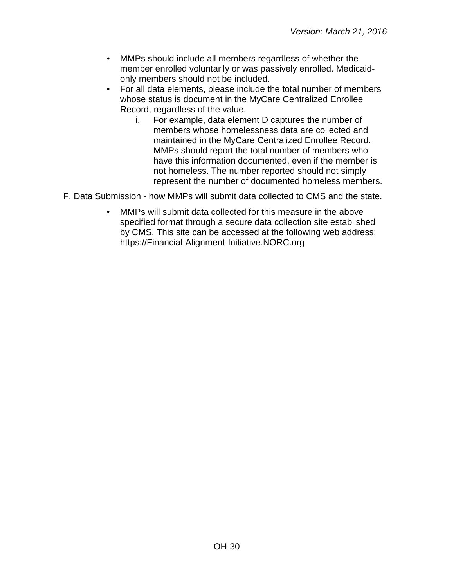- MMPs should include all members regardless of whether the member enrolled voluntarily or was passively enrolled. Medicaidonly members should not be included.
- For all data elements, please include the total number of members whose status is document in the MyCare Centralized Enrollee Record, regardless of the value.
	- i. For example, data element D captures the number of members whose homelessness data are collected and maintained in the MyCare Centralized Enrollee Record. MMPs should report the total number of members who have this information documented, even if the member is not homeless. The number reported should not simply represent the number of documented homeless members.
- F. Data Submission how MMPs will submit data collected to CMS and the state.
	- MMPs will submit data collected for this measure in the above specified format through a secure data collection site established by CMS. This site can be accessed at the following web address: [https://Financial-Alignment-Initiative.NORC.org](https://financial-alignment-initiative.norc.org/)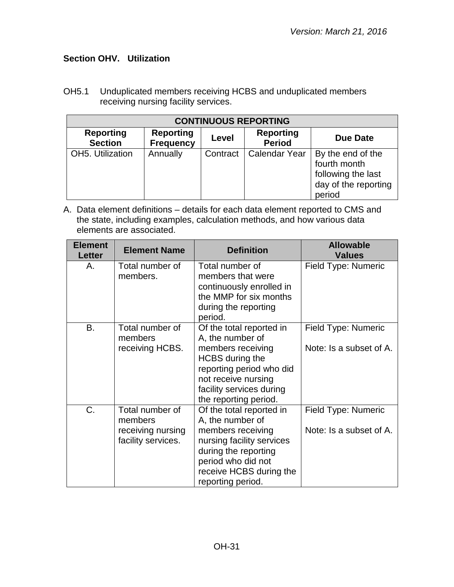## <span id="page-30-0"></span>**Section OHV. Utilization**

OH5.1 Unduplicated members receiving HCBS and unduplicated members receiving nursing facility services.

| <b>CONTINUOUS REPORTING</b>        |                                      |          |                                   |                                                                                           |  |  |  |
|------------------------------------|--------------------------------------|----------|-----------------------------------|-------------------------------------------------------------------------------------------|--|--|--|
| <b>Reporting</b><br><b>Section</b> | <b>Reporting</b><br><b>Frequency</b> | Level    | <b>Reporting</b><br><b>Period</b> | Due Date                                                                                  |  |  |  |
| OH5. Utilization                   | Annually                             | Contract | <b>Calendar Year</b>              | By the end of the<br>fourth month<br>following the last<br>day of the reporting<br>period |  |  |  |

| <b>Element</b><br><b>Letter</b> | <b>Element Name</b>                                                   | <b>Definition</b>                                                                                                                                                                                   | <b>Allowable</b><br><b>Values</b>              |
|---------------------------------|-----------------------------------------------------------------------|-----------------------------------------------------------------------------------------------------------------------------------------------------------------------------------------------------|------------------------------------------------|
| Α.                              | Total number of<br>members.                                           | Total number of<br>members that were<br>continuously enrolled in<br>the MMP for six months<br>during the reporting<br>period.                                                                       | Field Type: Numeric                            |
| <b>B.</b>                       | Total number of<br>members<br>receiving HCBS.                         | Of the total reported in<br>A, the number of<br>members receiving<br><b>HCBS</b> during the<br>reporting period who did<br>not receive nursing<br>facility services during<br>the reporting period. | Field Type: Numeric<br>Note: Is a subset of A. |
| C.                              | Total number of<br>members<br>receiving nursing<br>facility services. | Of the total reported in<br>A, the number of<br>members receiving<br>nursing facility services<br>during the reporting<br>period who did not<br>receive HCBS during the<br>reporting period.        | Field Type: Numeric<br>Note: Is a subset of A. |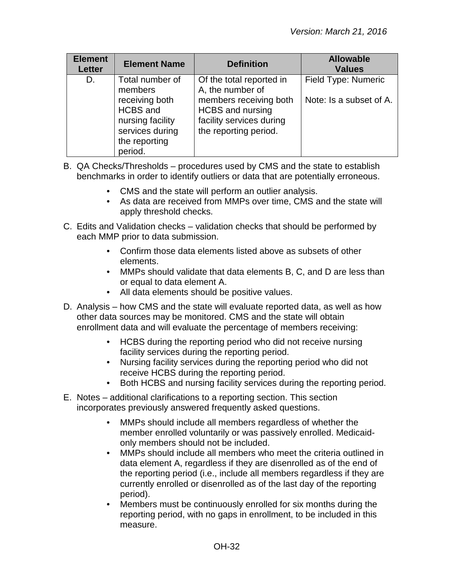| <b>Element</b><br><b>Letter</b> | <b>Element Name</b>                                                                                  | <b>Definition</b>                                                                                      | <b>Allowable</b><br><b>Values</b> |
|---------------------------------|------------------------------------------------------------------------------------------------------|--------------------------------------------------------------------------------------------------------|-----------------------------------|
| D.                              | Total number of<br>members                                                                           | Of the total reported in<br>A, the number of                                                           | Field Type: Numeric               |
|                                 | receiving both<br><b>HCBS</b> and<br>nursing facility<br>services during<br>the reporting<br>period. | members receiving both<br><b>HCBS</b> and nursing<br>facility services during<br>the reporting period. | Note: Is a subset of A.           |

- B. QA Checks/Thresholds procedures used by CMS and the state to establish benchmarks in order to identify outliers or data that are potentially erroneous.
	- CMS and the state will perform an outlier analysis.
	- As data are received from MMPs over time, CMS and the state will apply threshold checks.
- C. Edits and Validation checks validation checks that should be performed by each MMP prior to data submission.
	- Confirm those data elements listed above as subsets of other elements.
	- MMPs should validate that data elements B, C, and D are less than or equal to data element A.
	- All data elements should be positive values.
- D. Analysis how CMS and the state will evaluate reported data, as well as how other data sources may be monitored. CMS and the state will obtain enrollment data and will evaluate the percentage of members receiving:
	- HCBS during the reporting period who did not receive nursing facility services during the reporting period.
	- Nursing facility services during the reporting period who did not receive HCBS during the reporting period.
	- Both HCBS and nursing facility services during the reporting period.
- E. Notes additional clarifications to a reporting section. This section incorporates previously answered frequently asked questions.
	- MMPs should include all members regardless of whether the member enrolled voluntarily or was passively enrolled. Medicaidonly members should not be included.
	- MMPs should include all members who meet the criteria outlined in data element A, regardless if they are disenrolled as of the end of the reporting period (i.e., include all members regardless if they are currently enrolled or disenrolled as of the last day of the reporting period).
	- Members must be continuously enrolled for six months during the reporting period, with no gaps in enrollment, to be included in this measure.